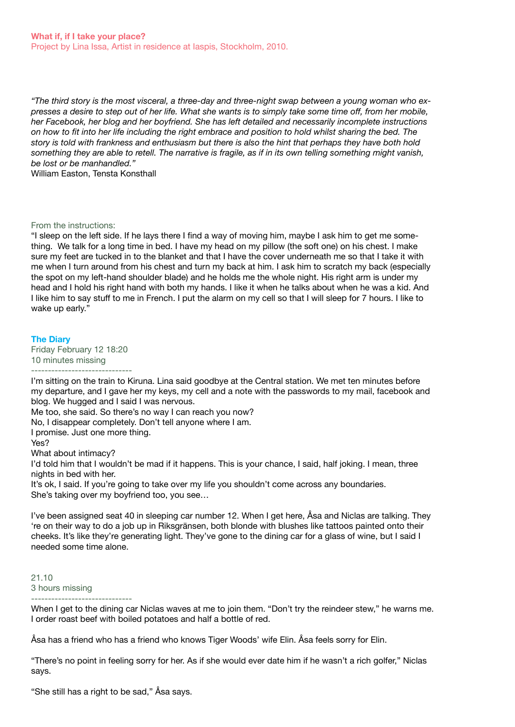*"The third story is the most visceral, a three-day and three-night swap between a young woman who expresses a desire to step out of her life. What she wants is to simply take some time off, from her mobile, her Facebook, her blog and her boyfriend. She has left detailed and necessarily incomplete instructions on how to fit into her life including the right embrace and position to hold whilst sharing the bed. The story is told with frankness and enthusiasm but there is also the hint that perhaps they have both hold something they are able to retell. The narrative is fragile, as if in its own telling something might vanish, be lost or be manhandled."* 

William Easton, Tensta Konsthall

### From the instructions:

"I sleep on the left side. If he lays there I find a way of moving him, maybe I ask him to get me something. We talk for a long time in bed. I have my head on my pillow (the soft one) on his chest. I make sure my feet are tucked in to the blanket and that I have the cover underneath me so that I take it with me when I turn around from his chest and turn my back at him. I ask him to scratch my back (especially the spot on my left-hand shoulder blade) and he holds me the whole night. His right arm is under my head and I hold his right hand with both my hands. I like it when he talks about when he was a kid. And I like him to say stuff to me in French. I put the alarm on my cell so that I will sleep for 7 hours. I like to wake up early."

### **The Diary**

Friday February 12 18:20 10 minutes missing ------------------------------

I'm sitting on the train to Kiruna. Lina said goodbye at the Central station. We met ten minutes before my departure, and I gave her my keys, my cell and a note with the passwords to my mail, facebook and blog. We hugged and I said I was nervous.

Me too, she said. So there's no way I can reach you now?

No, I disappear completely. Don't tell anyone where I am.

I promise. Just one more thing.

Yes?

What about intimacy?

I'd told him that I wouldn't be mad if it happens. This is your chance, I said, half joking. I mean, three nights in bed with her.

It's ok, I said. If you're going to take over my life you shouldn't come across any boundaries. She's taking over my boyfriend too, you see…

I've been assigned seat 40 in sleeping car number 12. When I get here, Åsa and Niclas are talking. They 're on their way to do a job up in Riksgränsen, both blonde with blushes like tattoos painted onto their cheeks. It's like they're generating light. They've gone to the dining car for a glass of wine, but I said I needed some time alone.

21.10 3 hours missing ------------------------------

When I get to the dining car Niclas waves at me to join them. "Don't try the reindeer stew," he warns me. I order roast beef with boiled potatoes and half a bottle of red.

Åsa has a friend who has a friend who knows Tiger Woods' wife Elin. Åsa feels sorry for Elin.

"There's no point in feeling sorry for her. As if she would ever date him if he wasn't a rich golfer," Niclas says.

"She still has a right to be sad," Åsa says.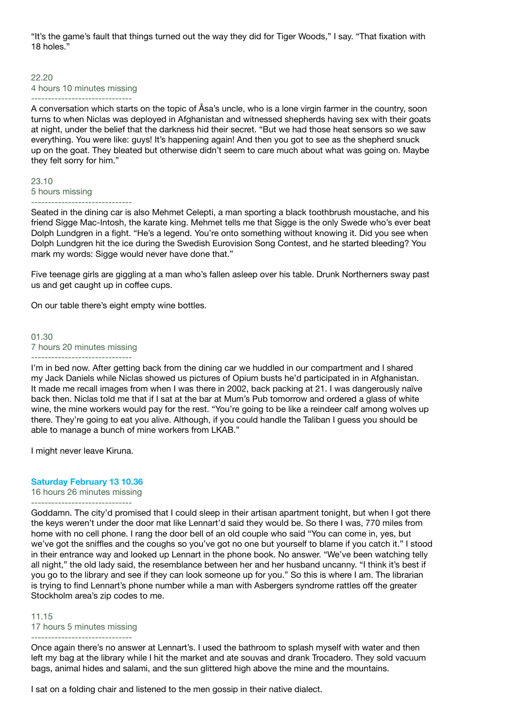"It's the game's fault that things turned out the way they did for Tiger Woods," I say. "That fixation with 18 holes."

### 22.20 4 hours 10 minutes missing ------------------------------

A conversation which starts on the topic of Åsa's uncle, who is a lone virgin farmer in the country, soon turns to when Niclas was deployed in Afghanistan and witnessed shepherds having sex with their goats at night, under the belief that the darkness hid their secret. "But we had those heat sensors so we saw everything. You were like: guys! It's happening again! And then you got to see as the shepherd snuck up on the goat. They bleated but otherwise didn't seem to care much about what was going on. Maybe they felt sorry for him."

## 23.10 5 hours missing ------------------------------

Seated in the dining car is also Mehmet Celepti, a man sporting a black toothbrush moustache, and his friend Sigge Mac-Intosh, the karate king. Mehmet tells me that Sigge is the only Swede who's ever beat Dolph Lundgren in a fight. "He's a legend. You're onto something without knowing it. Did you see when Dolph Lundgren hit the ice during the Swedish Eurovision Song Contest, and he started bleeding? You mark my words: Sigge would never have done that."

Five teenage girls are giggling at a man who's fallen asleep over his table. Drunk Northerners sway past us and get caught up in coffee cups.

On our table there's eight empty wine bottles.

01.30 7 hours 20 minutes missing ------------------------------

I'm in bed now. After getting back from the dining car we huddled in our compartment and I shared my Jack Daniels while Niclas showed us pictures of Opium busts he'd participated in in Afghanistan. It made me recall images from when I was there in 2002, back packing at 21. I was dangerously naïve back then. Niclas told me that if I sat at the bar at Mum's Pub tomorrow and ordered a glass of white wine, the mine workers would pay for the rest. "You're going to be like a reindeer calf among wolves up there. They're going to eat you alive. Although, if you could handle the Taliban I guess you should be able to manage a bunch of mine workers from LKAB."

I might never leave Kiruna.

### **Saturday February 13 10.36**

16 hours 26 minutes missing ------------------------------

Goddamn. The city'd promised that I could sleep in their artisan apartment tonight, but when I got there the keys weren't under the door mat like Lennart'd said they would be. So there I was, 770 miles from home with no cell phone. I rang the door bell of an old couple who said "You can come in, yes, but we've got the sniffles and the coughs so you've got no one but yourself to blame if you catch it." I stood in their entrance way and looked up Lennart in the phone book. No answer. "We've been watching telly all night," the old lady said, the resemblance between her and her husband uncanny. "I think it's best if you go to the library and see if they can look someone up for you." So this is where I am. The librarian is trying to find Lennart's phone number while a man with Asbergers syndrome rattles off the greater Stockholm area's zip codes to me.

11.15 17 hours 5 minutes missing

------------------------------

Once again there's no answer at Lennart's. I used the bathroom to splash myself with water and then left my bag at the library while I hit the market and ate souvas and drank Trocadero. They sold vacuum bags, animal hides and salami, and the sun glittered high above the mine and the mountains.

I sat on a folding chair and listened to the men gossip in their native dialect.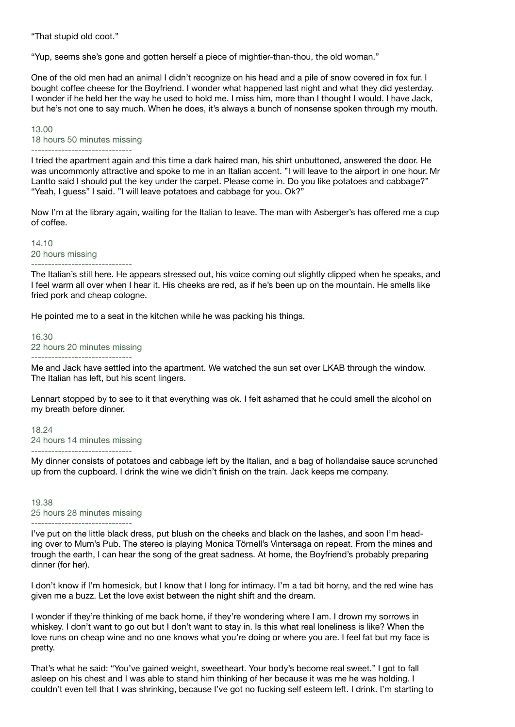"That stupid old coot."

"Yup, seems she's gone and gotten herself a piece of mightier-than-thou, the old woman."

One of the old men had an animal I didn't recognize on his head and a pile of snow covered in fox fur. I bought coffee cheese for the Boyfriend. I wonder what happened last night and what they did yesterday. I wonder if he held her the way he used to hold me. I miss him, more than I thought I would. I have Jack, but he's not one to say much. When he does, it's always a bunch of nonsense spoken through my mouth.

# 13.00 18 hours 50 minutes missing

------------------------------

I tried the apartment again and this time a dark haired man, his shirt unbuttoned, answered the door. He was uncommonly attractive and spoke to me in an Italian accent. "I will leave to the airport in one hour. Mr Lantto said I should put the key under the carpet. Please come in. Do you like potatoes and cabbage?" "Yeah, I guess" I said. "I will leave potatoes and cabbage for you. Ok?"

Now I'm at the library again, waiting for the Italian to leave. The man with Asberger's has offered me a cup of coffee.

14.10 20 hours missing ------------------------------

The Italian's still here. He appears stressed out, his voice coming out slightly clipped when he speaks, and I feel warm all over when I hear it. His cheeks are red, as if he's been up on the mountain. He smells like fried pork and cheap cologne.

He pointed me to a seat in the kitchen while he was packing his things.

16.30 22 hours 20 minutes missing ------------------------------

Me and Jack have settled into the apartment. We watched the sun set over LKAB through the window. The Italian has left, but his scent lingers.

Lennart stopped by to see to it that everything was ok. I felt ashamed that he could smell the alcohol on my breath before dinner.

18.24 24 hours 14 minutes missing ------------------------------

My dinner consists of potatoes and cabbage left by the Italian, and a bag of hollandaise sauce scrunched up from the cupboard. I drink the wine we didn't finish on the train. Jack keeps me company.

# 19.38 25 hours 28 minutes missing ------------------------------

I've put on the little black dress, put blush on the cheeks and black on the lashes, and soon I'm heading over to Mum's Pub. The stereo is playing Monica Törnell's Vintersaga on repeat. From the mines and trough the earth, I can hear the song of the great sadness. At home, the Boyfriend's probably preparing dinner (for her).

I don't know if I'm homesick, but I know that I long for intimacy. I'm a tad bit horny, and the red wine has given me a buzz. Let the love exist between the night shift and the dream.

I wonder if they're thinking of me back home, if they're wondering where I am. I drown my sorrows in whiskey. I don't want to go out but I don't want to stay in. Is this what real loneliness is like? When the love runs on cheap wine and no one knows what you're doing or where you are. I feel fat but my face is pretty.

That's what he said: "You've gained weight, sweetheart. Your body's become real sweet." I got to fall asleep on his chest and I was able to stand him thinking of her because it was me he was holding. I couldn't even tell that I was shrinking, because I've got no fucking self esteem left. I drink. I'm starting to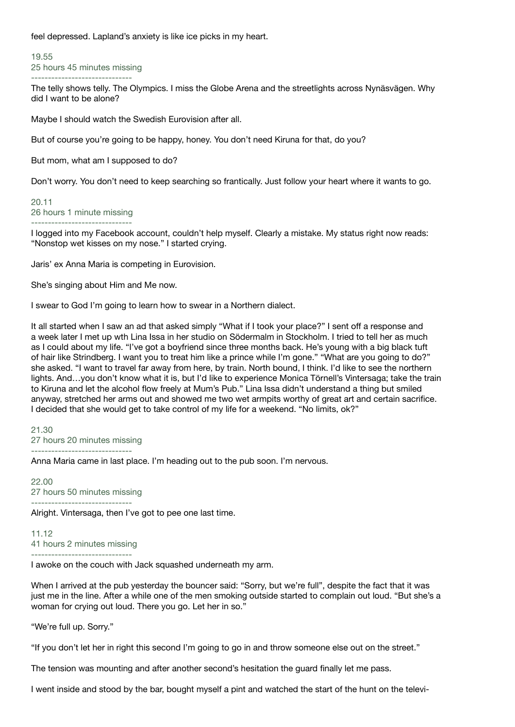feel depressed. Lapland's anxiety is like ice picks in my heart.

19.55 25 hours 45 minutes missing ------------------------------

The telly shows telly. The Olympics. I miss the Globe Arena and the streetlights across Nynäsvägen. Why did I want to be alone?

Maybe I should watch the Swedish Eurovision after all.

But of course you're going to be happy, honey. You don't need Kiruna for that, do you?

But mom, what am I supposed to do?

Don't worry. You don't need to keep searching so frantically. Just follow your heart where it wants to go.

## 20.11 26 hours 1 minute missing ------------------------------

I logged into my Facebook account, couldn't help myself. Clearly a mistake. My status right now reads: "Nonstop wet kisses on my nose." I started crying.

Jaris' ex Anna Maria is competing in Eurovision.

She's singing about Him and Me now.

I swear to God I'm going to learn how to swear in a Northern dialect.

It all started when I saw an ad that asked simply "What if I took your place?" I sent off a response and a week later I met up wth Lina Issa in her studio on Södermalm in Stockholm. I tried to tell her as much as I could about my life. "I've got a boyfriend since three months back. He's young with a big black tuft of hair like Strindberg. I want you to treat him like a prince while I'm gone." "What are you going to do?" she asked. "I want to travel far away from here, by train. North bound, I think. I'd like to see the northern lights. And…you don't know what it is, but I'd like to experience Monica Törnell's Vintersaga; take the train to Kiruna and let the alcohol flow freely at Mum's Pub." Lina Issa didn't understand a thing but smiled anyway, stretched her arms out and showed me two wet armpits worthy of great art and certain sacrifice. I decided that she would get to take control of my life for a weekend. "No limits, ok?"

21.30 27 hours 20 minutes missing ------------------------------

Anna Maria came in last place. I'm heading out to the pub soon. I'm nervous.

22.00 27 hours 50 minutes missing ------------------------------

Alright. Vintersaga, then I've got to pee one last time.

11.12 41 hours 2 minutes missing

I awoke on the couch with Jack squashed underneath my arm.

When I arrived at the pub yesterday the bouncer said: "Sorry, but we're full", despite the fact that it was just me in the line. After a while one of the men smoking outside started to complain out loud. "But she's a woman for crying out loud. There you go. Let her in so."

"We're full up. Sorry."

"If you don't let her in right this second I'm going to go in and throw someone else out on the street."

The tension was mounting and after another second's hesitation the guard finally let me pass.

I went inside and stood by the bar, bought myself a pint and watched the start of the hunt on the televi-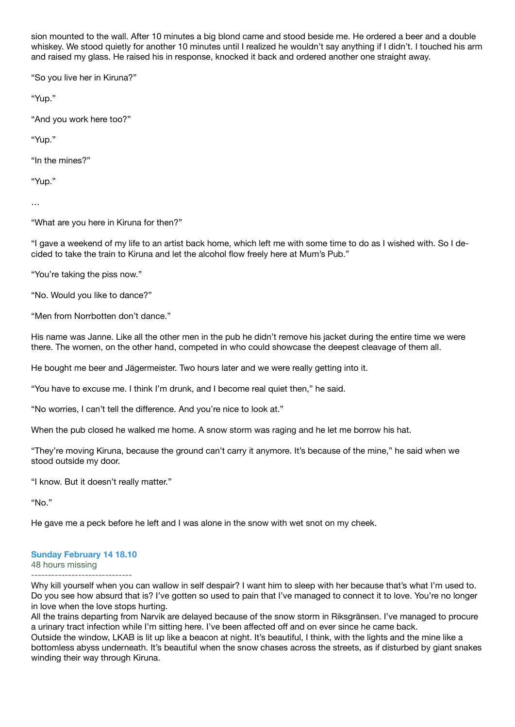sion mounted to the wall. After 10 minutes a big blond came and stood beside me. He ordered a beer and a double whiskey. We stood quietly for another 10 minutes until I realized he wouldn't say anything if I didn't. I touched his arm and raised my glass. He raised his in response, knocked it back and ordered another one straight away.

"So you live her in Kiruna?"

"Yup."

"And you work here too?"

"Yup."

"In the mines?"

"Yup."

…

"What are you here in Kiruna for then?"

"I gave a weekend of my life to an artist back home, which left me with some time to do as I wished with. So I decided to take the train to Kiruna and let the alcohol flow freely here at Mum's Pub."

"You're taking the piss now."

"No. Would you like to dance?"

"Men from Norrbotten don't dance."

His name was Janne. Like all the other men in the pub he didn't remove his jacket during the entire time we were there. The women, on the other hand, competed in who could showcase the deepest cleavage of them all.

He bought me beer and Jägermeister. Two hours later and we were really getting into it.

"You have to excuse me. I think I'm drunk, and I become real quiet then," he said.

"No worries, I can't tell the difference. And you're nice to look at."

When the pub closed he walked me home. A snow storm was raging and he let me borrow his hat.

"They're moving Kiruna, because the ground can't carry it anymore. It's because of the mine," he said when we stood outside my door.

"I know. But it doesn't really matter."

"No."

He gave me a peck before he left and I was alone in the snow with wet snot on my cheek.

# **Sunday February 14 18.10**

48 hours missing

------------------------------ Why kill yourself when you can wallow in self despair? I want him to sleep with her because that's what I'm used to. Do you see how absurd that is? I've gotten so used to pain that I've managed to connect it to love. You're no longer in love when the love stops hurting.

All the trains departing from Narvik are delayed because of the snow storm in Riksgränsen. I've managed to procure a urinary tract infection while I'm sitting here. I've been affected off and on ever since he came back.

Outside the window, LKAB is lit up like a beacon at night. It's beautiful, I think, with the lights and the mine like a bottomless abyss underneath. It's beautiful when the snow chases across the streets, as if disturbed by giant snakes winding their way through Kiruna.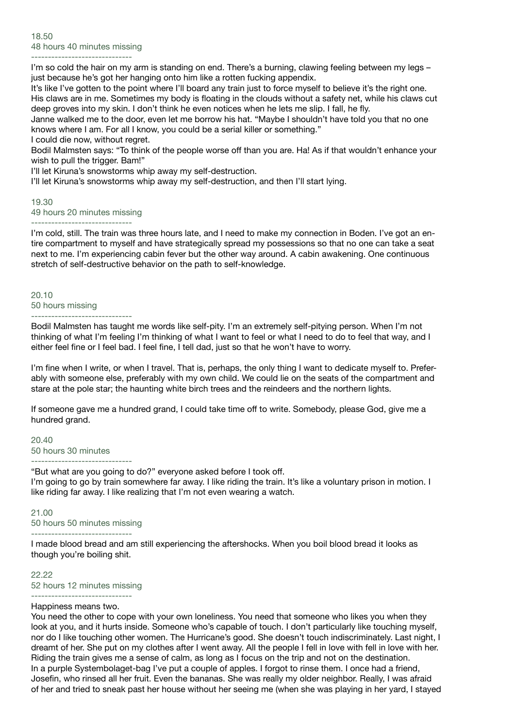------------------------------ I'm so cold the hair on my arm is standing on end. There's a burning, clawing feeling between my legs – just because he's got her hanging onto him like a rotten fucking appendix.

It's like I've gotten to the point where I'll board any train just to force myself to believe it's the right one. His claws are in me. Sometimes my body is floating in the clouds without a safety net, while his claws cut deep groves into my skin. I don't think he even notices when he lets me slip. I fall, he fly.

Janne walked me to the door, even let me borrow his hat. "Maybe I shouldn't have told you that no one knows where I am. For all I know, you could be a serial killer or something."

I could die now, without regret.

Bodil Malmsten says: "To think of the people worse off than you are. Ha! As if that wouldn't enhance your wish to pull the trigger. Bam!"

I'll let Kiruna's snowstorms whip away my self-destruction.

I'll let Kiruna's snowstorms whip away my self-destruction, and then I'll start lying.

## 19.30 49 hours 20 minutes missing ------------------------------

I'm cold, still. The train was three hours late, and I need to make my connection in Boden. I've got an entire compartment to myself and have strategically spread my possessions so that no one can take a seat next to me. I'm experiencing cabin fever but the other way around. A cabin awakening. One continuous stretch of self-destructive behavior on the path to self-knowledge.

#### 20.10 50 hours missing ------------------------------

Bodil Malmsten has taught me words like self-pity. I'm an extremely self-pitying person. When I'm not thinking of what I'm feeling I'm thinking of what I want to feel or what I need to do to feel that way, and I either feel fine or I feel bad. I feel fine, I tell dad, just so that he won't have to worry.

I'm fine when I write, or when I travel. That is, perhaps, the only thing I want to dedicate myself to. Preferably with someone else, preferably with my own child. We could lie on the seats of the compartment and stare at the pole star; the haunting white birch trees and the reindeers and the northern lights.

If someone gave me a hundred grand, I could take time off to write. Somebody, please God, give me a hundred grand.

## 20.40 50 hours 30 minutes ------------------------------

"But what are you going to do?" everyone asked before I took off. I'm going to go by train somewhere far away. I like riding the train. It's like a voluntary prison in motion. I like riding far away. I like realizing that I'm not even wearing a watch.

## 21.00 50 hours 50 minutes missing

------------------------------

I made blood bread and am still experiencing the aftershocks. When you boil blood bread it looks as though you're boiling shit.

22.22 52 hours 12 minutes missing ------------------------------

# Happiness means two.

You need the other to cope with your own loneliness. You need that someone who likes you when they look at you, and it hurts inside. Someone who's capable of touch. I don't particularly like touching myself, nor do I like touching other women. The Hurricane's good. She doesn't touch indiscriminately. Last night, I dreamt of her. She put on my clothes after I went away. All the people I fell in love with fell in love with her. Riding the train gives me a sense of calm, as long as I focus on the trip and not on the destination. In a purple Systembolaget-bag I've put a couple of apples. I forgot to rinse them. I once had a friend, Josefin, who rinsed all her fruit. Even the bananas. She was really my older neighbor. Really, I was afraid of her and tried to sneak past her house without her seeing me (when she was playing in her yard, I stayed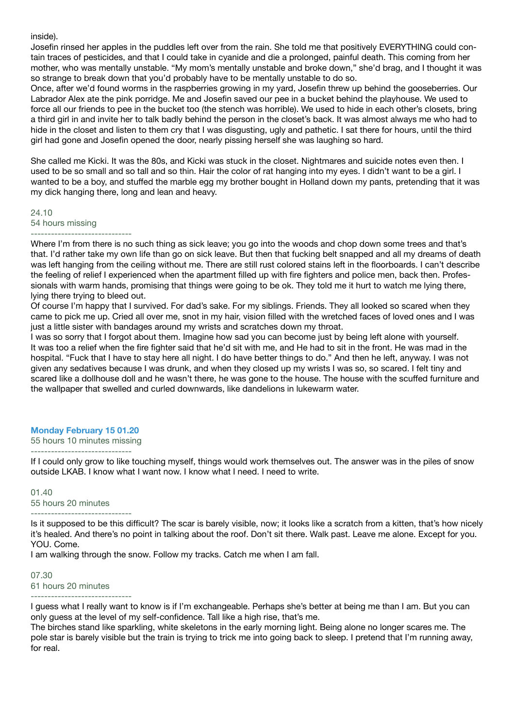inside).

Josefin rinsed her apples in the puddles left over from the rain. She told me that positively EVERYTHING could contain traces of pesticides, and that I could take in cyanide and die a prolonged, painful death. This coming from her mother, who was mentally unstable. "My mom's mentally unstable and broke down," she'd brag, and I thought it was so strange to break down that you'd probably have to be mentally unstable to do so.

Once, after we'd found worms in the raspberries growing in my yard, Josefin threw up behind the gooseberries. Our Labrador Alex ate the pink porridge. Me and Josefin saved our pee in a bucket behind the playhouse. We used to force all our friends to pee in the bucket too (the stench was horrible). We used to hide in each other's closets, bring a third girl in and invite her to talk badly behind the person in the closet's back. It was almost always me who had to hide in the closet and listen to them cry that I was disgusting, ugly and pathetic. I sat there for hours, until the third girl had gone and Josefin opened the door, nearly pissing herself she was laughing so hard.

She called me Kicki. It was the 80s, and Kicki was stuck in the closet. Nightmares and suicide notes even then. I used to be so small and so tall and so thin. Hair the color of rat hanging into my eyes. I didn't want to be a girl. I wanted to be a boy, and stuffed the marble egg my brother bought in Holland down my pants, pretending that it was my dick hanging there, long and lean and heavy.

24.10 54 hours missing ------------------------------

Where I'm from there is no such thing as sick leave; you go into the woods and chop down some trees and that's that. I'd rather take my own life than go on sick leave. But then that fucking belt snapped and all my dreams of death was left hanging from the ceiling without me. There are still rust colored stains left in the floorboards. I can't describe the feeling of relief I experienced when the apartment filled up with fire fighters and police men, back then. Professionals with warm hands, promising that things were going to be ok. They told me it hurt to watch me lying there, lying there trying to bleed out.

Of course I'm happy that I survived. For dad's sake. For my siblings. Friends. They all looked so scared when they came to pick me up. Cried all over me, snot in my hair, vision filled with the wretched faces of loved ones and I was just a little sister with bandages around my wrists and scratches down my throat.

I was so sorry that I forgot about them. Imagine how sad you can become just by being left alone with yourself. It was too a relief when the fire fighter said that he'd sit with me, and He had to sit in the front. He was mad in the hospital. "Fuck that I have to stay here all night. I do have better things to do." And then he left, anyway. I was not given any sedatives because I was drunk, and when they closed up my wrists I was so, so scared. I felt tiny and scared like a dollhouse doll and he wasn't there, he was gone to the house. The house with the scuffed furniture and the wallpaper that swelled and curled downwards, like dandelions in lukewarm water.

# **Monday February 15 01.20**

55 hours 10 minutes missing ------------------------------

If I could only grow to like touching myself, things would work themselves out. The answer was in the piles of snow outside LKAB. I know what I want now. I know what I need. I need to write.

01.40 55 hours 20 minutes ------------------------------

Is it supposed to be this difficult? The scar is barely visible, now; it looks like a scratch from a kitten, that's how nicely it's healed. And there's no point in talking about the roof. Don't sit there. Walk past. Leave me alone. Except for you. YOU. Come.

I am walking through the snow. Follow my tracks. Catch me when I am fall.

07.30 61 hours 20 minutes ------------------------------

I guess what I really want to know is if I'm exchangeable. Perhaps she's better at being me than I am. But you can only guess at the level of my self-confidence. Tall like a high rise, that's me.

The birches stand like sparkling, white skeletons in the early morning light. Being alone no longer scares me. The pole star is barely visible but the train is trying to trick me into going back to sleep. I pretend that I'm running away, for real.